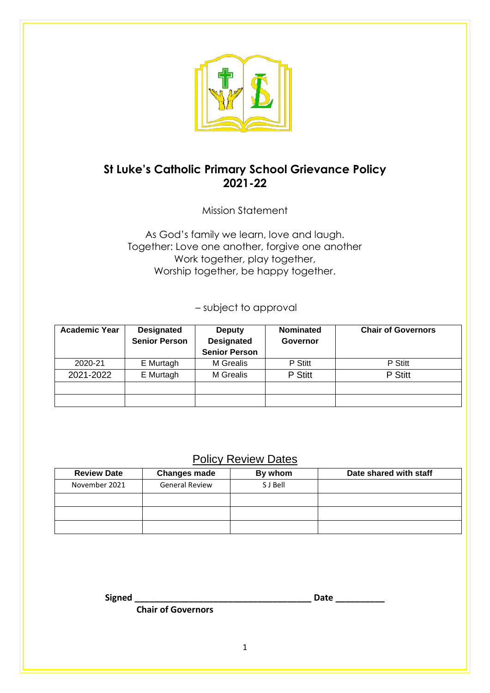

# **St Luke's Catholic Primary School Grievance Policy 2021-22**

Mission Statement

As God's family we learn, love and laugh. Together: Love one another, forgive one another Work together, play together, Worship together, be happy together.

– subject to approval

| <b>Academic Year</b> | <b>Designated</b><br><b>Senior Person</b> | <b>Deputy</b><br><b>Designated</b> | <b>Nominated</b><br>Governor | <b>Chair of Governors</b> |
|----------------------|-------------------------------------------|------------------------------------|------------------------------|---------------------------|
|                      |                                           | <b>Senior Person</b>               |                              |                           |
| 2020-21              | E Murtagh                                 | M Grealis                          | P Stitt                      | P Stitt                   |
| 2021-2022            | E Murtagh                                 | M Grealis                          | P Stitt                      | P Stitt                   |
|                      |                                           |                                    |                              |                           |
|                      |                                           |                                    |                              |                           |

# Policy Review Dates

| <b>Review Date</b> | <b>Changes made</b>   | By whom  | Date shared with staff |
|--------------------|-----------------------|----------|------------------------|
| November 2021      | <b>General Review</b> | S J Bell |                        |
|                    |                       |          |                        |
|                    |                       |          |                        |
|                    |                       |          |                        |

**Signed \_\_\_\_\_\_\_\_\_\_\_\_\_\_\_\_\_\_\_\_\_\_\_\_\_\_\_\_\_\_\_\_\_\_\_\_ Date \_\_\_\_\_\_\_\_\_\_**

 **Chair of Governors**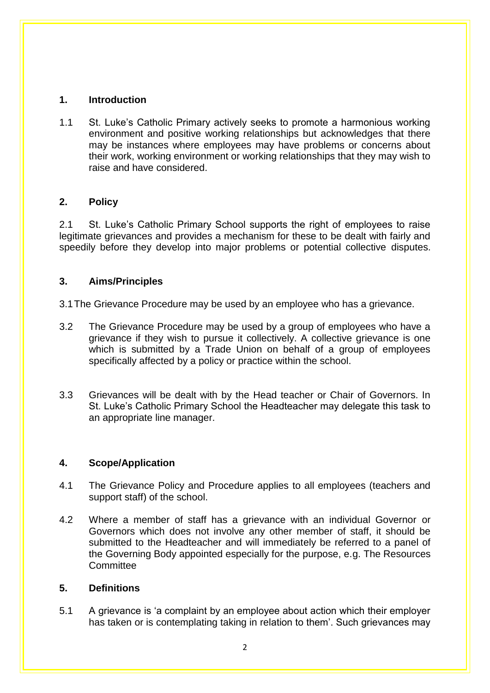# **1. Introduction**

1.1 St. Luke's Catholic Primary actively seeks to promote a harmonious working environment and positive working relationships but acknowledges that there may be instances where employees may have problems or concerns about their work, working environment or working relationships that they may wish to raise and have considered.

# **2. Policy**

2.1 St. Luke's Catholic Primary School supports the right of employees to raise legitimate grievances and provides a mechanism for these to be dealt with fairly and speedily before they develop into major problems or potential collective disputes.

# **3. Aims/Principles**

3.1The Grievance Procedure may be used by an employee who has a grievance.

- 3.2 The Grievance Procedure may be used by a group of employees who have a grievance if they wish to pursue it collectively. A collective grievance is one which is submitted by a Trade Union on behalf of a group of employees specifically affected by a policy or practice within the school.
- 3.3 Grievances will be dealt with by the Head teacher or Chair of Governors. In St. Luke's Catholic Primary School the Headteacher may delegate this task to an appropriate line manager.

#### **4. Scope/Application**

- 4.1 The Grievance Policy and Procedure applies to all employees (teachers and support staff) of the school.
- 4.2 Where a member of staff has a grievance with an individual Governor or Governors which does not involve any other member of staff, it should be submitted to the Headteacher and will immediately be referred to a panel of the Governing Body appointed especially for the purpose, e.g. The Resources **Committee**

#### **5. Definitions**

5.1 A grievance is 'a complaint by an employee about action which their employer has taken or is contemplating taking in relation to them'. Such grievances may